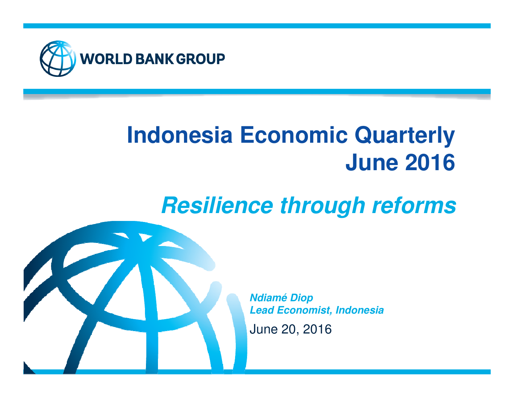

# **Indonesia Economic QuarterlyJune 2016**

# **Resilience through reforms**



June 20, 2016**Ndiamé DiopLead Economist, Indonesia**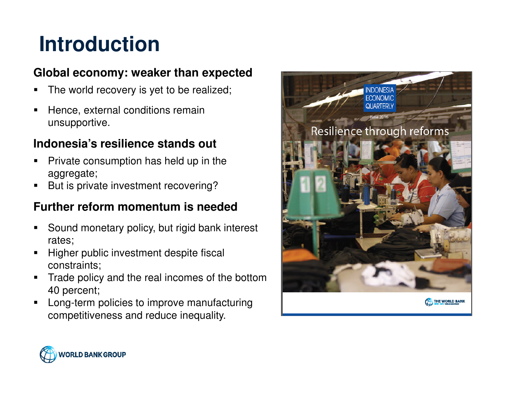# **Introduction**

### **Global economy: weaker than expected**

- The world recovery is yet to be realized;
- Hence, external conditions remain unsupportive.

### **Indonesia's resilience stands out**

- Private consumption has held up in the aggregate;
- But is private investment recovering?

### **Further reform momentum is needed**

- Sound monetary policy, but rigid bank interest rates;
- Higher public investment despite fiscal constraints;
- Trade policy and the real incomes of the bottom 40 percent;
- Long-term policies to improve manufacturing competitiveness and reduce inequality.



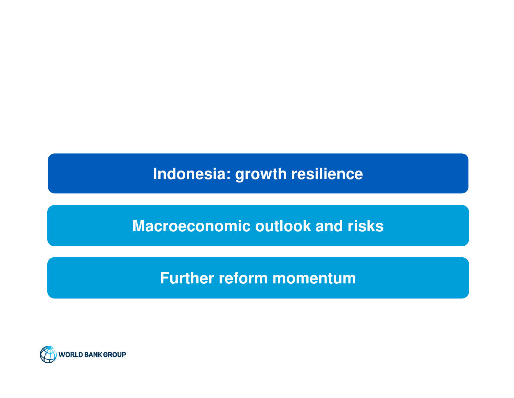**Indonesia: growth resilience**

**Macroeconomic outlook and risks**

**Further reform momentum**

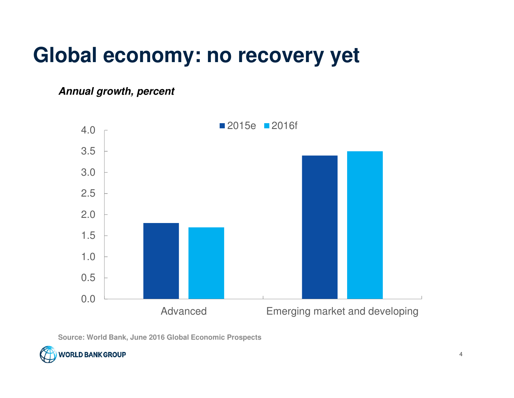## **Global economy: no recovery yet**

**Annual growth, percent**



**Source: World Bank, June 2016 Global Economic Prospects**

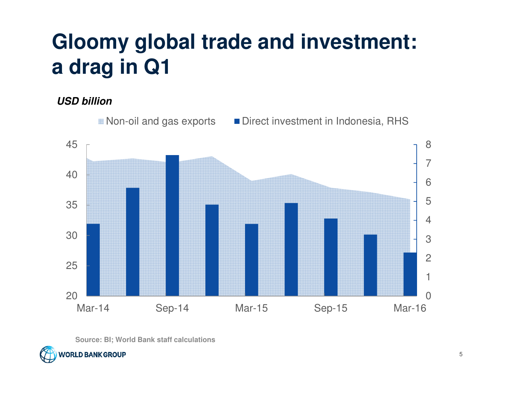# **Gloomy global trade and investment: a drag in Q1**

**USD billion**



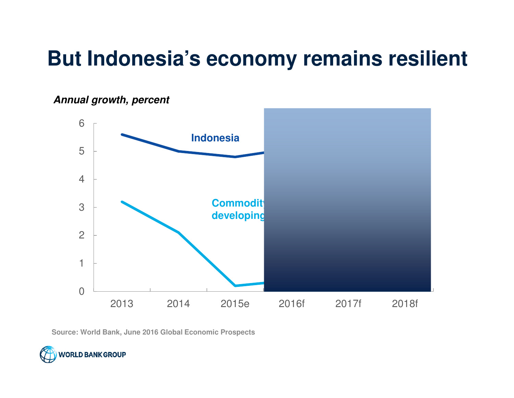## **But Indonesia's economy remains resilient**



**Annual growth, percent**

**Source: World Bank, June 2016 Global Economic Prospects**

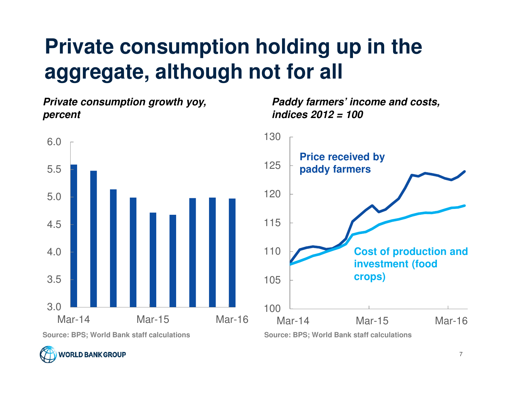# **Private consumption holding up in the aggregate, although not for all**

**Private consumption growth yoy, percent**



**Source: BPS; World Bank staff calculations Source: BPS; World Bank staff calculations**



**Paddy farmers' income and costs, indices 2012 = 100**

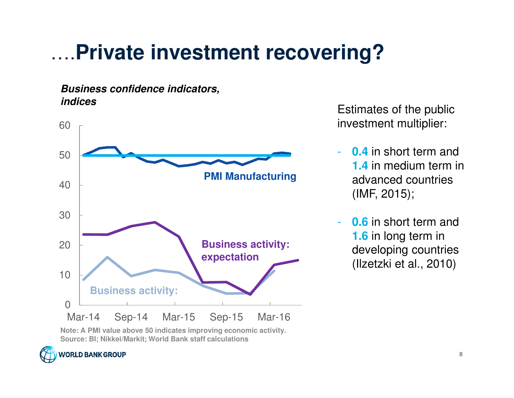# ….**Private investment recovering?**

#### **Business confidence indicators,indices**



Estimates of the public investment multiplier:

- **0.4** in short term and **1.4** in medium term in advanced countries (IMF, 2015);
- **0.6** in short term and **1.6** in long term in developing countries (Ilzetzki et al., 2010)

**Note: A PMI value above 50 indicates improving economic activity.Source: BI; Nikkei/Markit; World Bank staff calculations**

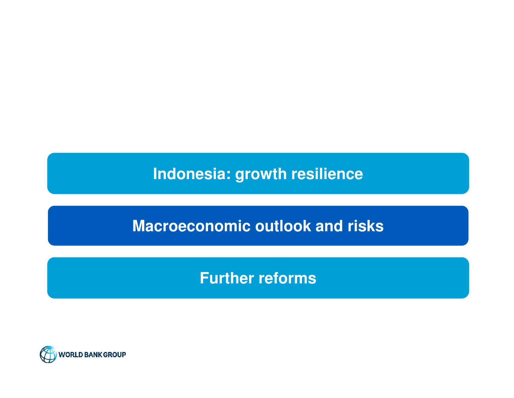**Indonesia: growth resilience**

**Macroeconomic outlook and risks**

**Further reforms**

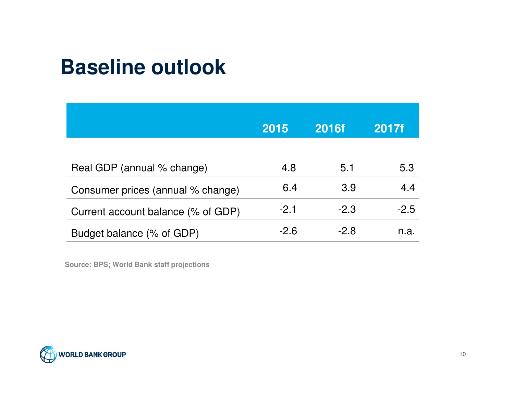## **Baseline outlook**

|                                    | 2015   | <b>2016f</b> | 2017f  |
|------------------------------------|--------|--------------|--------|
| Real GDP (annual % change)         | 4.8    | 5.1          | 5.3    |
| Consumer prices (annual % change)  | 6.4    | 3.9          | 4.4    |
| Current account balance (% of GDP) | $-2.1$ | $-2.3$       | $-2.5$ |
| Budget balance (% of GDP)          | $-2.6$ | $-2.8$       | n.a.   |

**Source: BPS; World Bank staff projections**

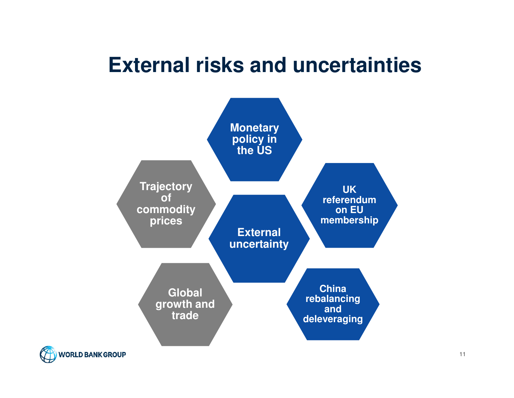### **External risks and uncertainties**



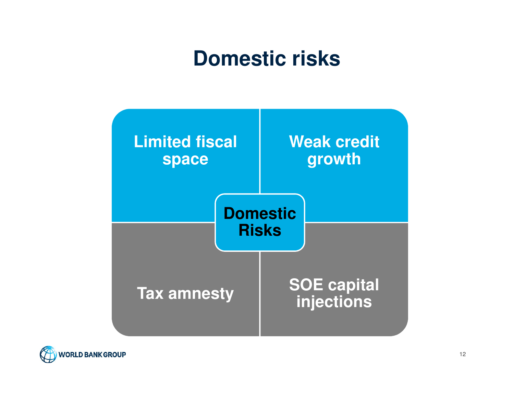## **Domestic risks**



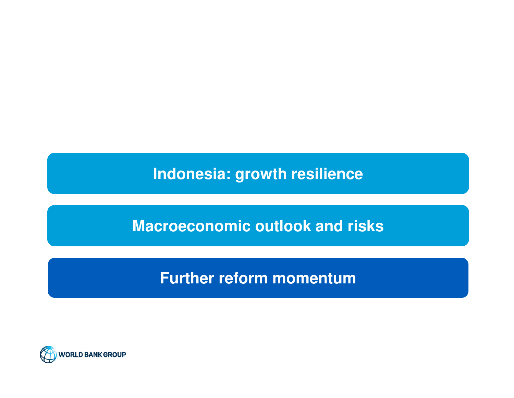**Indonesia: growth resilience**

**Macroeconomic outlook and risks**

**Further reform momentum**

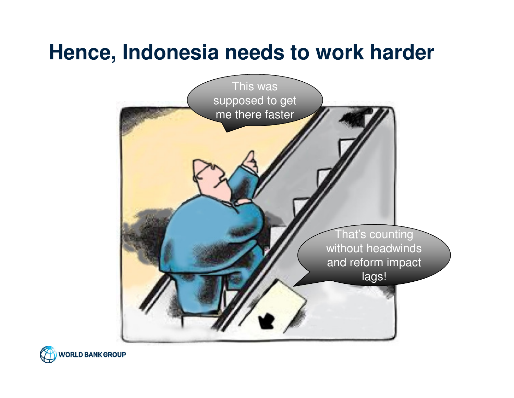## **Hence, Indonesia needs to work harder**



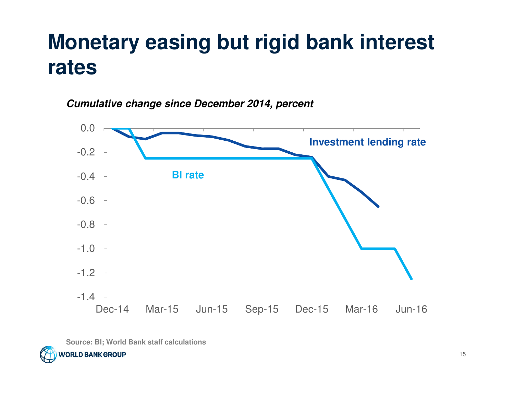## **Monetary easing but rigid bank interest rates**

**Cumulative change since December 2014, percent**



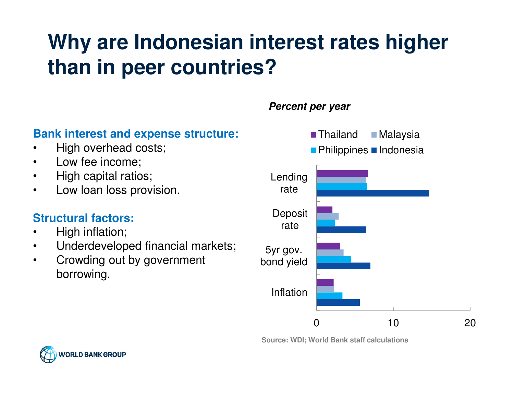# **Why are Indonesian interest rates higher than in peer countries?**

### **Bank interest and expense structure:**

- •High overhead costs;
- $\bullet$ Low fee income;
- •High capital ratios;
- •Low loan loss provision.

### **Structural factors:**

- •High inflation;
- $\bullet$ Underdeveloped financial markets;
- • Crowding out by government borrowing.

### 0 10 20Inflation5yr gov.bond yield**Deposit** rateLendingrate■ Thailand ■ Malaysia Philippines ■ Indonesia

**Source: WDI; World Bank staff calculations**



### **Percent per year**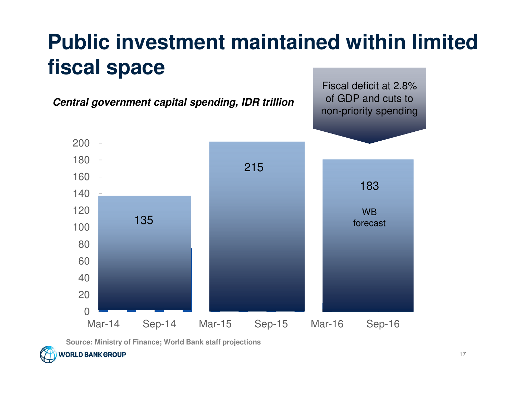# **Public investment maintained within limited fiscal space**



**Source: Ministry of Finance; World Bank staff projections**

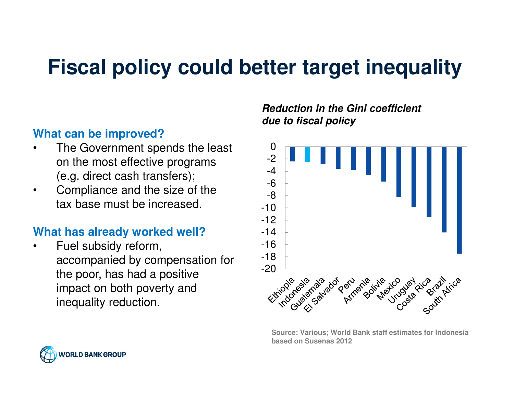## **Fiscal policy could better target inequality**

### **What can be improved?**

- The Government spends the least •on the most effective programs (e.g. direct cash transfers);
- • Compliance and the size of the tax base must be increased.

### **What has already worked well?**

• Fuel subsidy reform, accompanied by compensation for the poor, has had a positive impact on both poverty and inequality reduction.

#### **Reduction in the Gini coefficient due to fiscal policy**



**Source: Various; World Bank staff estimates for Indonesia based on Susenas 2012**

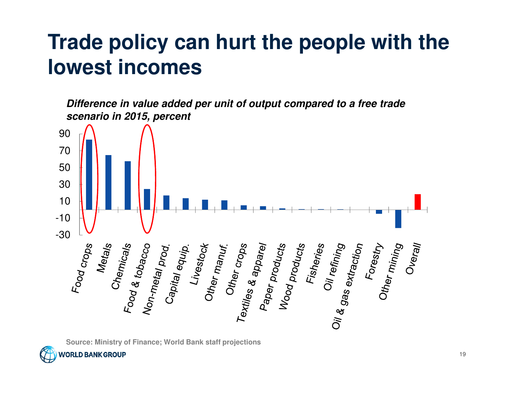## **Trade policy can hurt the people with the lowest incomes**

**Difference in value added per unit of output compared to a free trade scenario in 2015, percent**



**Source: Ministry of Finance; World Bank staff projections**

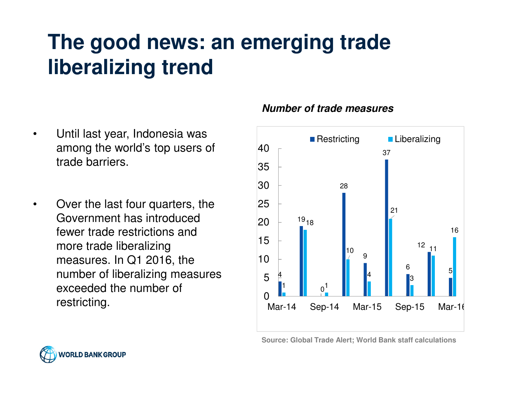# **The good news: an emerging trade liberalizing trend**

- $\bullet$  Until last year, Indonesia was among the world's top users of trade barriers.
- • Over the last four quarters, the Government has introduced fewer trade restrictions and more trade liberalizing measures. In Q1 2016, the number of liberalizing measures exceeded the number of restricting.

#### **Number of trade measures**



**Source: Global Trade Alert; World Bank staff calculations**